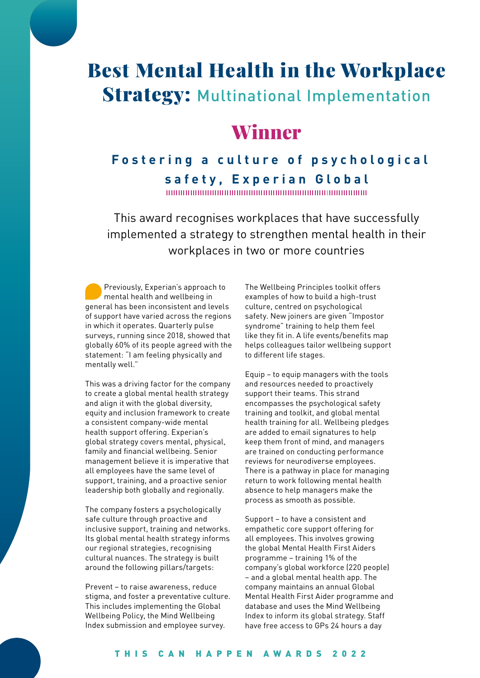# Best Mental Health in the Workplace **Strategy: Multinational Implementation**

# Winner

## **Fostering a culture of psychological safety, Experian Global**

This award recognises workplaces that have successfully implemented a strategy to strengthen mental health in their workplaces in two or more countries

Previously, Experian's approach to mental health and wellbeing in general has been inconsistent and levels of support have varied across the regions in which it operates. Quarterly pulse surveys, running since 2018, showed that globally 60% of its people agreed with the statement: "I am feeling physically and mentally well."

This was a driving factor for the company to create a global mental health strategy and align it with the global diversity, equity and inclusion framework to create a consistent company-wide mental health support offering. Experian's global strategy covers mental, physical, family and financial wellbeing. Senior management believe it is imperative that all employees have the same level of support, training, and a proactive senior leadership both globally and regionally.

The company fosters a psychologically safe culture through proactive and inclusive support, training and networks. Its global mental health strategy informs our regional strategies, recognising cultural nuances. The strategy is built around the following pillars/targets:

Prevent – to raise awareness, reduce stigma, and foster a preventative culture. This includes implementing the Global Wellbeing Policy, the Mind Wellbeing Index submission and employee survey.

The Wellbeing Principles toolkit offers examples of how to build a high-trust culture, centred on psychological safety. New joiners are given "Impostor syndrome" training to help them feel like they fit in. A life events/benefits map helps colleagues tailor wellbeing support to different life stages.

Equip – to equip managers with the tools and resources needed to proactively support their teams. This strand encompasses the psychological safety training and toolkit, and global mental health training for all. Wellbeing pledges are added to email signatures to help keep them front of mind, and managers are trained on conducting performance reviews for neurodiverse employees. There is a pathway in place for managing return to work following mental health absence to help managers make the process as smooth as possible.

Support – to have a consistent and empathetic core support offering for all employees. This involves growing the global Mental Health First Aiders programme – training 1% of the company's global workforce (220 people) – and a global mental health app. The company maintains an annual Global Mental Health First Aider programme and database and uses the Mind Wellbeing Index to inform its global strategy. Staff have free access to GPs 24 hours a day

#### THIS CAN HAPPEN AWARDS 2022